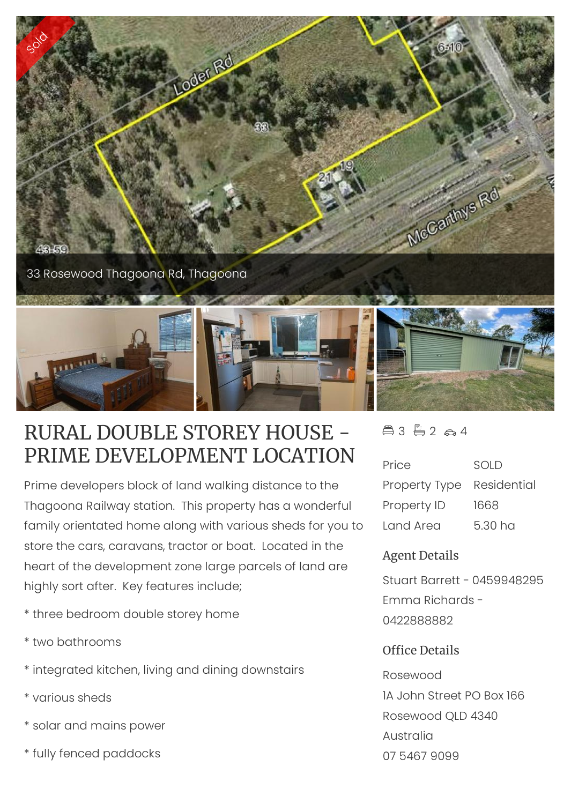

# RURAL DOUBLE STOREY HOUSE - PRIME DEVELOPMENT LOCATION

Prime developers block of land walking distance to the Thagoona Railway station. This property has a wonderful family orientated home along with various sheds for you to store the cars, caravans, tractor or boat. Located in the heart of the development zone large parcels of land are highly sort after. Key features include;

- \* three bedroom double storey home
- \* two bathrooms
- \* integrated kitchen, living and dining downstairs
- \* various sheds
- \* solar and mains power
- \* fully fenced paddocks

### $43 - 264$

| Price                     | SOLD    |
|---------------------------|---------|
| Property Type Residential |         |
| Property ID               | 1668    |
| <b>Land Area</b>          | 5.30 ha |

### Agent Details

Stuart Barrett - 0459948295 Emma Richards - 0422888882

#### Office Details

Rosewood 1A John Street PO Box 166 Rosewood QLD 4340 Australia 07 5467 9099